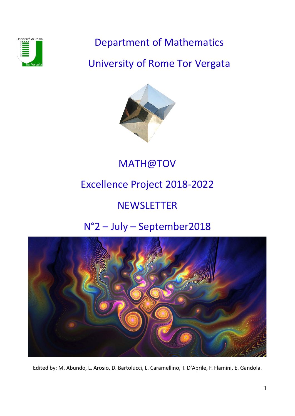

Department of Mathematics

University of Rome Tor Vergata



MATH@TOV

# Excellence Project 2018-2022

# **NEWSLETTER**

# N°2 – July – September2018



Edited by: M. Abundo, L. Arosio, D. Bartolucci, L. Caramellino, T. D'Aprile, F. Flamini, E. Gandola.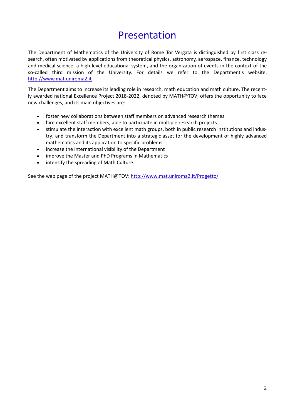## Presentation

The Department of Mathematics of the University of Rome Tor Vergata is distinguished by first class research, often motivated by applications from theoretical physics, astronomy, aerospace, finance, technology and medical science, a high level educational system, and the organization of events in the context of the so-called third mission of the University. For details we refer to the Department's website, [http://www.mat.uniroma2.it](http://www.mat.uniroma2.it/)

The Department aims to increase its leading role in research, math education and math culture. The recently awarded national Excellence Project 2018-2022, denoted by MATH@TOV, offers the opportunity to face new challenges, and its main objectives are:

- foster new collaborations between staff members on advanced research themes
- hire excellent staff members, able to participate in multiple research projects
- stimulate the interaction with excellent math groups, both in public research institutions and industry, and transform the Department into a strategic asset for the development of highly advanced mathematics and its application to specific problems
- increase the international visibility of the Department
- improve the Master and PhD Programs in Mathematics
- intensify the spreading of Math Culture.

See the web page of the project MATH@TOV: <http://www.mat.uniroma2.it/Progetto/>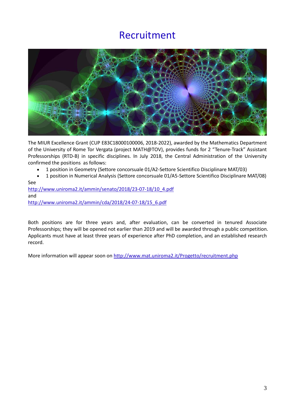### Recruitment



The MIUR Excellence Grant (CUP E83C18000100006, 2018-2022), awarded by the Mathematics Department of the University of Rome Tor Vergata (project MATH@TOV), provides funds for 2 "Tenure-Track" Assistant Professorships (RTD-B) in specific disciplines. In July 2018, the Central Administration of the University confirmed the positions as follows:

- 1 position in Geometry (Settore concorsuale 01/A2-Settore Scientifico Disciplinare MAT/03)
- 1 position in Numerical Analysis (Settore concorsuale 01/A5-Settore Scientifico Disciplinare MAT/08) See

[http://www.uniroma2.it/ammin/senato/2018/23-07-18/10\\_4.pdf](http://www.uniroma2.it/ammin/senato/2018/23-07-18/10_4.pdf) and [http://www.uniroma2.it/ammin/cda/2018/24-07-18/15\\_6.pdf](http://www.uniroma2.it/ammin/cda/2018/24-07-18/15_6.pdf)

Both positions are for three years and, after evaluation, can be converted in tenured Associate Professorships; they will be opened not earlier than 2019 and will be awarded through a public competition. Applicants must have at least three years of experience after PhD completion, and an established research record.

More information will appear soon on [http://www.mat.uniroma2.it/Progetto/r](http://www.mat.uniroma2.it/Progetto/)ecruitment.php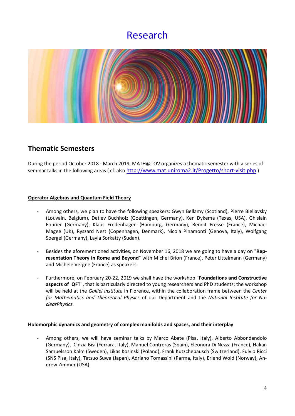### Research



### **Thematic Semesters**

During the period October 2018 - March 2019, MATH@TOV organizes a thematic semester with a series of seminar talks in the following areas ( cf. also<http://www.mat.uniroma2.it/Progetto/short-visit.php> )

#### **Operator Algebras and Quantum Field Theory**

- Among others, we plan to have the following speakers: Gwyn Bellamy (Scotland), Pierre Bieliavsky (Louvain, Belgium), Detlev Buchholz (Goettingen, Germany), Ken Dykema (Texas, USA), Ghislain Fourier (Germany), Klaus Fredenhagen (Hamburg, Germany), Benoit Fresse (France), Michael Magee (UK), Ryszard Nest (Copenhagen, Denmark), Nicola Pinamonti (Genova, Italy), Wolfgang Soergel (Germany), Layla Sorkatty (Sudan).
- Besides the aforementioned activities, on November 16, 2018 we are going to have a day on "**Representation Theory in Rome and Beyond**" with Michel Brion (France), Peter Littelmann (Germany) and Michele Vergne (France) as speakers.
- Furthermore, on February 20-22, 2019 we shall have the workshop "**Foundations and Constructive aspects of QFT**", that is particularly directed to young researchers and PhD students; the workshop will be held at the *Galilei Institute* in Florence, within the collaboration frame between the *Center for Mathematics and Theoretical Physics* of our Department and the *National Institute for NuclearPhysics.*

#### **Holomorphic dynamics and geometry of complex manifolds and spaces, and their interplay**

- Among others, we will have seminar talks by Marco Abate (Pisa, Italy), Alberto Abbondandolo (Germany), Cinzia Bisi (Ferrara, Italy), Manuel Contreras (Spain), Eleonora Di Nezza (France), Hakan Samuelsson Kalm (Sweden), Likas Kosinski (Poland), Frank Kutzchebausch (Switzerland), Fulvio Ricci (SNS Pisa, Italy), Tatsuo Suwa (Japan), Adriano Tomassini (Parma, Italy), Erlend Wold (Norway), Andrew Zimmer (USA).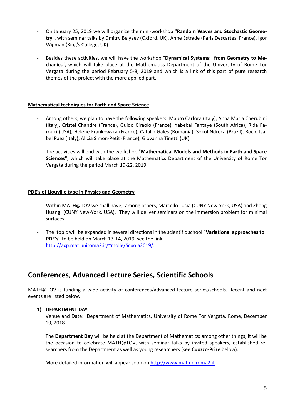- On January 25, 2019 we will organize the mini-workshop "**Random Waves and Stochastic Geometry**", with seminar talks by Dmitry Belyaev (Oxford, UK), Anne Estrade (Paris Descartes, France), Igor Wigman (King's College, UK).
- Besides these activities, we will have the workshop "**Dynamical Systems: from Geometry to Mechanics**", which will take place at the Mathematics Department of the University of Rome Tor Vergata during the period February 5-8, 2019 and which is a link of this part of pure research themes of the project with the more applied part.

#### **Mathematical techniques for Earth and Space Science**

- Among others, we plan to have the following speakers: Mauro Carfora (Italy), Anna Maria Cherubini (Italy), Cristel Chandre (France), Guido Ciraolo (France), Yabebal Fantaye (South Africa), Rida Farouki (USA), Helene Frankowska (France), Catalin Gales (Romania), Sokol Ndreca (Brazil), Rocio Isabel Paez (Italy), Alicia Simon-Petit (France), Giovanna Tinetti (UK).
- The activities will end with the workshop "**Mathematical Models and Methods in Earth and Space Sciences**", which will take place at the Mathematics Department of the University of Rome Tor Vergata during the period March 19-22, 2019.

#### **PDE's of Liouville type in Physics and Geometry**

- Within MATH@TOV we shall have, among others, Marcello Lucia (CUNY New-York, USA) and Zheng Huang (CUNY New-York, USA). They will deliver seminars on the immersion problem for minimal surfaces.
- The topic will be expanded in several directions in the scientific school "**Variational approaches to PDE's**" to be held on March 13-14, 2019, see the link [http://axp.mat.uniroma2.it/~molle/Scuola2019/.](http://axp.mat.uniroma2.it/%7Emolle/Scuola2019/)

### **Conferences, Advanced Lecture Series, Scientific Schools**

MATH@TOV is funding a wide activity of conferences/advanced lecture series/schools. Recent and next events are listed below.

#### **1) DEPARTMENT DAY**

Venue and Date: Department of Mathematics, University of Rome Tor Vergata, Rome, December 19, 2018

The **Department Day** will be held at the Department of Mathematics; among other things, it will be the occasion to celebrate MATH@TOV, with seminar talks by invited speakers, established researchers from the Department as well as young researchers (see **Cuozzo-Prize** below).

More detailed information will appear soon on [http://www.mat.uniroma2.it](http://www.mat.uniroma2.it/)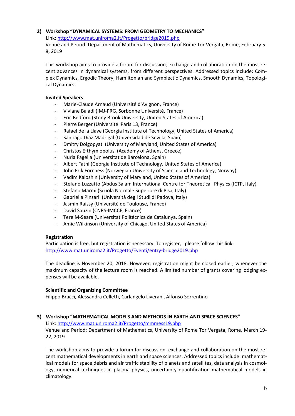#### **2) Workshop "DYNAMICAL SYSTEMS: FROM GEOMETRY TO MECHANICS"**

Link: <http://www.mat.uniroma2.it/Progetto/bridge2019.php>

Venue and Period: Department of Mathematics, University of Rome Tor Vergata, Rome, February 5- 8, 2019

This workshop aims to provide a forum for discussion, exchange and collaboration on the most recent advances in dynamical systems, from different perspectives. Addressed topics include: Complex Dynamics, Ergodic Theory, Hamiltonian and Symplectic Dynamics, Smooth Dynamics, Topological Dynamics.

#### **Invited Speakers**

- Marie-Claude Arnaud (Université d'Avignon, France)
- Viviane Baladi (IMJ-PRG, Sorbonne Université, France)
- Eric Bedford (Stony Brook University, United States of America)
- Pierre Berger (Université Paris 13, France)
- Rafael de la Llave (Georgia Institute of Technology, United States of America)
- Santiago Diaz Madrigal (Universidad de Sevilla, Spain)
- Dmitry Dolgopyat (University of Maryland, United States of America)
- Christos Efthymiopolus (Academy of Athens, Greece)
- Nuria Fagella (Universitat de Barcelona, Spain)
- Albert Fathi (Georgia Institute of Technology, United States of America)
- John Erik Fornaess (Norwegian University of Science and Technology, Norway)
- Vadim Kaloshin (University of Maryland, United States of America)
- Stefano Luzzatto (Abdus Salam International Centre for Theoretical Physics (ICTP, Italy)
- Stefano Marmi (Scuola Normale Superiore di Pisa, Italy)
- Gabriella Pinzari (Università degli Studi di Padova, Italy)
- Jasmin Raissy (Université de Toulouse, France)
- David Sauzin (CNRS-IMCCE, France)
- Tere M-Seara (Universitat Politécnica de Catalunya, Spain)
- Amie Wilkinson (University of Chicago, United States of America)

#### **Registration**

Participation is free, but registration is necessary. To register, please follow this link: <http://www.mat.uniroma2.it/Progetto/Eventi/entry-bridge2019.php>

The deadline is November 20, 2018. However, registration might be closed earlier, whenever the maximum capacity of the lecture room is reached. A limited number of grants covering lodging expenses will be available.

#### **Scientific and Organizing Committee**

Filippo Bracci, Alessandra Celletti, Carlangelo Liverani, Alfonso Sorrentino

#### **3) Workshop "MATHEMATICAL MODELS AND METHODS IN EARTH AND SPACE SCIENCES"**

Link:<http://www.mat.uniroma2.it/Progetto/mmmess19.php>

Venue and Period: Department of Mathematics, University of Rome Tor Vergata, Rome, March 19- 22, 2019

The workshop aims to provide a forum for discussion, exchange and collaboration on the most recent mathematical developments in earth and space sciences. Addressed topics include: mathematical models for space debris and air traffic stability of planets and satellites, data analysis in cosmology, numerical techniques in plasma physics, uncertainty quantification mathematical models in climatology.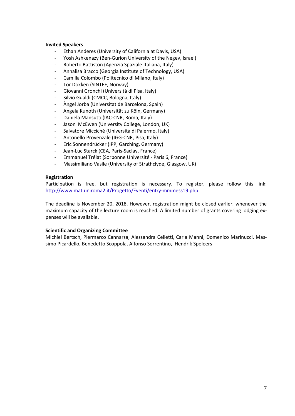#### **Invited Speakers**

- Ethan Anderes (University of California at Davis, USA)
- Yosh Ashkenazy (Ben-Gurion University of the Negev, Israel)
- Roberto Battiston (Agenzia Spaziale Italiana, Italy)
- Annalisa Bracco (Georgia Institute of Technology, USA)
- Camilla Colombo (Politecnico di Milano, Italy)
- Tor Dokken (SINTEF, Norway)
- Giovanni Gronchi (Università di Pisa, Italy)
- Silvio Gualdi (CMCC, Bologna, Italy)
- Àngel Jorba (Universitat de Barcelona, Spain)
- Angela Kunoth (Universität zu Köln, Germany)
- Daniela Mansutti (IAC-CNR, Roma, Italy)
- Jason McEwen (University College, London, UK)
- Salvatore Miccichè (Università di Palermo, Italy)
- Antonello Provenzale (IGG-CNR, Pisa, Italy)
- Eric Sonnendrücker (IPP, Garching, Germany)
- Jean-Luc Starck (CEA, Paris-Saclay, France)
- Emmanuel Trélat (Sorbonne Université Paris 6, France)
- Massimiliano Vasile (University of Strathclyde, Glasgow, UK)

#### **Registration**

Participation is free, but registration is necessary. To register, please follow this link: <http://www.mat.uniroma2.it/Progetto/Eventi/entry-mmmess19.php>

The deadline is November 20, 2018. However, registration might be closed earlier, whenever the maximum capacity of the lecture room is reached. A limited number of grants covering lodging expenses will be available.

#### **Scientific and Organizing Committee**

Michiel Bertsch, Piermarco Cannarsa, Alessandra Celletti, Carla Manni, Domenico Marinucci, Massimo Picardello, Benedetto Scoppola, Alfonso Sorrentino, Hendrik Speleers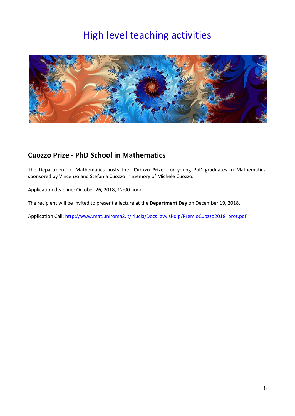## High level teaching activities



### **Cuozzo Prize - PhD School in Mathematics**

The Department of Mathematics hosts the "**Cuozzo Prize**" for young PhD graduates in Mathematics, sponsored by Vincenzo and Stefania Cuozzo in memory of Michele Cuozzo.

Application deadline: October 26, 2018, 12:00 noon.

The recipient will be invited to present a lecture at the **Department Day** on December 19, 2018.

Application Call[: http://www.mat.uniroma2.it/~lucia/Docs\\_avvisi-dip/PremioCuozzo2018\\_prot.pdf](http://www.mat.uniroma2.it/%7Elucia/Docs_avvisi-dip/PremioCuozzo2018_prot.pdf)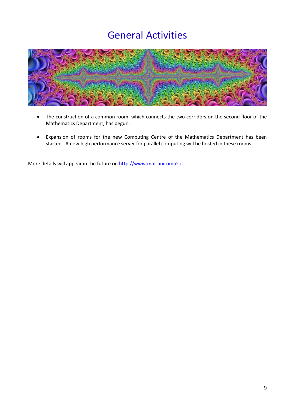## General Activities



- The construction of a common room, which connects the two corridors on the second floor of the Mathematics Department, has begun.
- Expansion of rooms for the new Computing Centre of the Mathematics Department has been started. A new high performance server for parallel computing will be hosted in these rooms.

More details will appear in the future on [http://www.mat.uniroma2.it](http://www.mat.uniroma2.it/)